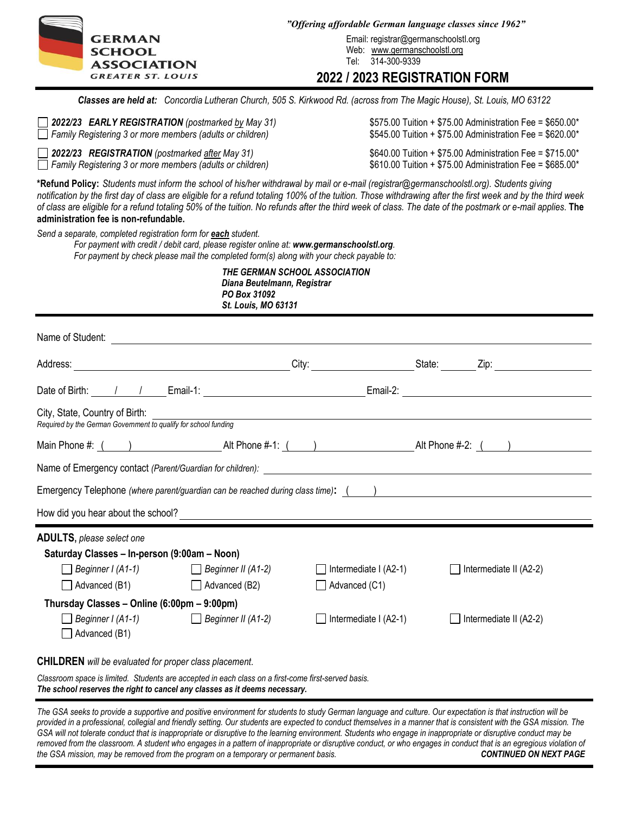

GERMAN Email: registrar@germanschoolstl.org SCHOOL Web: www.germanschoolstl.org

# **2022 / 2023 REGISTRATION FORM**

*Classes are held at: Concordia Lutheran Church, 505 S. Kirkwood Rd. (across from The Magic House), St. Louis, MO 63122*

| $\Box$ 2022/23 EARLY REGISTRATION (postmarked by May 31)                                                                                                                                                                                                                                                                                                                                                                                                                                                      | \$575.00 Tuition + \$75.00 Administration Fee = \$650.00* |
|---------------------------------------------------------------------------------------------------------------------------------------------------------------------------------------------------------------------------------------------------------------------------------------------------------------------------------------------------------------------------------------------------------------------------------------------------------------------------------------------------------------|-----------------------------------------------------------|
| Family Registering 3 or more members (adults or children)                                                                                                                                                                                                                                                                                                                                                                                                                                                     | \$545.00 Tuition + \$75.00 Administration Fee = \$620.00* |
| $\Box$ 2022/23 REGISTRATION (postmarked after May 31)                                                                                                                                                                                                                                                                                                                                                                                                                                                         | \$640.00 Tuition + \$75.00 Administration Fee = \$715.00* |
| $\Box$ Family Registering 3 or more members (adults or children)                                                                                                                                                                                                                                                                                                                                                                                                                                              | \$610.00 Tuition + \$75.00 Administration Fee = \$685.00* |
| *Refund Policy: Students must inform the school of his/her withdrawal by mail or e-mail (registrar@germanschoolstl.org). Students giving<br>notification by the first day of class are eligible for a refund totaling 100% of the tuition. Those withdrawing after the first week and by the third week<br>of class are eligible for a refund totaling 50% of the tuition. No refunds after the third week of class. The date of the postmark or e-mail applies. The<br>administration fee is non-refundable. |                                                           |
| Send a separate, completed registration form for each student.<br>For payment with credit / debit card, please register online at: www.germanschoolstl.org.<br>For payment by check please mail the completed form(s) along with your check payable to:                                                                                                                                                                                                                                                       |                                                           |

 *THE GERMAN SCHOOL ASSOCIATION Diana Beutelmann, Registrar PO Box 31092 St. Louis, MO 63131*

| City, State, Country of Birth:<br>Required by the German Government to qualify for school funding                                                                                 |                                                       |                                                               |              |                        |  |  |  |  |
|-----------------------------------------------------------------------------------------------------------------------------------------------------------------------------------|-------------------------------------------------------|---------------------------------------------------------------|--------------|------------------------|--|--|--|--|
|                                                                                                                                                                                   |                                                       |                                                               |              |                        |  |  |  |  |
|                                                                                                                                                                                   |                                                       |                                                               |              |                        |  |  |  |  |
| Emergency Telephone (where parent/guardian can be reached during class time): () _____________________________                                                                    |                                                       |                                                               |              |                        |  |  |  |  |
|                                                                                                                                                                                   |                                                       |                                                               |              |                        |  |  |  |  |
| <b>ADULTS</b> , please select one<br>Saturday Classes - In-person (9:00am - Noon)<br>Advanced (B1)                                                                                | Beginner I (A1-1) Beginner II (A1-2)<br>Advanced (B2) | Intermediate I (A2-1)<br>$\mathbf{I}$<br>$\Box$ Advanced (C1) | $\mathbf{L}$ | Intermediate II (A2-2) |  |  |  |  |
| Thursday Classes - Online (6:00pm - 9:00pm)                                                                                                                                       |                                                       |                                                               |              |                        |  |  |  |  |
| Advanced (B1)                                                                                                                                                                     | ■ Beginner I (A1-1) Beginner II (A1-2)                | Intermediate I (A2-1)<br>$\mathbf{I}$                         | $\mathsf{L}$ | Intermediate II (A2-2) |  |  |  |  |
| <b>CHILDREN</b> will be evaluated for proper class placement.                                                                                                                     |                                                       |                                                               |              |                        |  |  |  |  |
| Classroom space is limited. Students are accepted in each class on a first-come first-served basis.<br>The school reserves the right to cancel any classes as it deems necessary. |                                                       |                                                               |              |                        |  |  |  |  |

*The GSA seeks to provide a supportive and positive environment for students to study German language and culture. Our expectation is that instruction will be provided in a professional, collegial and friendly setting. Our students are expected to conduct themselves in a manner that is consistent with the GSA mission. The GSA will not tolerate conduct that is inappropriate or disruptive to the learning environment. Students who engage in inappropriate or disruptive conduct may be removed from the classroom. A student who engages in a pattern of inappropriate or disruptive conduct, or who engages in conduct that is an egregious violation of the GSA mission, may be removed from the program on a temporary or permanent basis.*